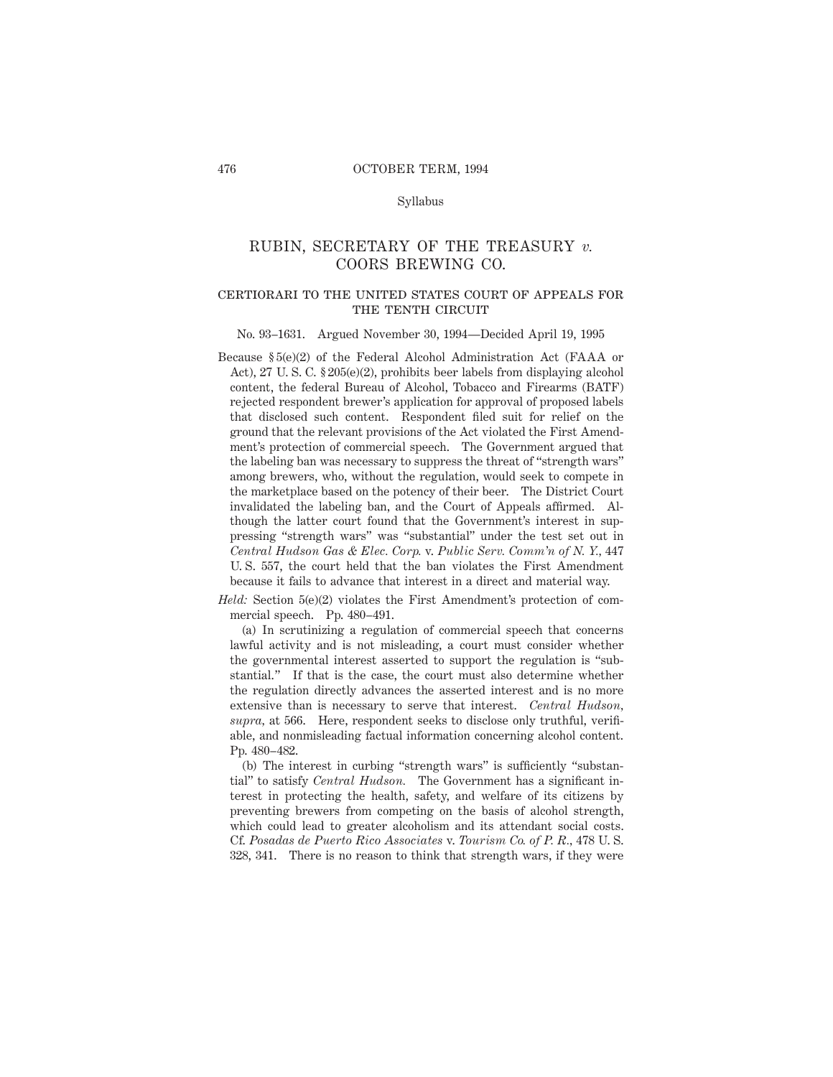#### Syllabus

# RUBIN, SECRETARY OF THE TREASURY *v.* COORS BREWING CO.

### certiorari to the united states court of appeals forTHE TENTH CIRCUIT

#### No. 93–1631. Argued November 30, 1994—Decided April 19, 1995

Because § 5(e)(2) of the Federal Alcohol Administration Act (FAAA or Act), 27 U. S. C. § 205(e)(2), prohibits beer labels from displaying alcohol content, the federal Bureau of Alcohol, Tobacco and Firearms (BATF) rejected respondent brewer's application for approval of proposed labels that disclosed such content. Respondent filed suit for relief on the ground that the relevant provisions of the Act violated the First Amendment's protection of commercial speech. The Government argued that the labeling ban was necessary to suppress the threat of "strength wars" among brewers, who, without the regulation, would seek to compete in the marketplace based on the potency of their beer. The District Court invalidated the labeling ban, and the Court of Appeals affirmed. Although the latter court found that the Government's interest in suppressing "strength wars" was "substantial" under the test set out in *Central Hudson Gas & Elec. Corp.* v. *Public Serv. Comm'n of N. Y.,* 447 U. S. 557, the court held that the ban violates the First Amendment because it fails to advance that interest in a direct and material way.

*Held:* Section 5(e)(2) violates the First Amendment's protection of commercial speech. Pp. 480–491.

(a) In scrutinizing a regulation of commercial speech that concerns lawful activity and is not misleading, a court must consider whether the governmental interest asserted to support the regulation is "substantial." If that is the case, the court must also determine whether the regulation directly advances the asserted interest and is no more extensive than is necessary to serve that interest. *Central Hudson, supra,* at 566. Here, respondent seeks to disclose only truthful, verifiable, and nonmisleading factual information concerning alcohol content. Pp. 480–482.

(b) The interest in curbing "strength wars" is sufficiently "substantial" to satisfy *Central Hudson.* The Government has a significant interest in protecting the health, safety, and welfare of its citizens by preventing brewers from competing on the basis of alcohol strength, which could lead to greater alcoholism and its attendant social costs. Cf. *Posadas de Puerto Rico Associates* v. *Tourism Co. of P. R.,* 478 U. S. 328, 341. There is no reason to think that strength wars, if they were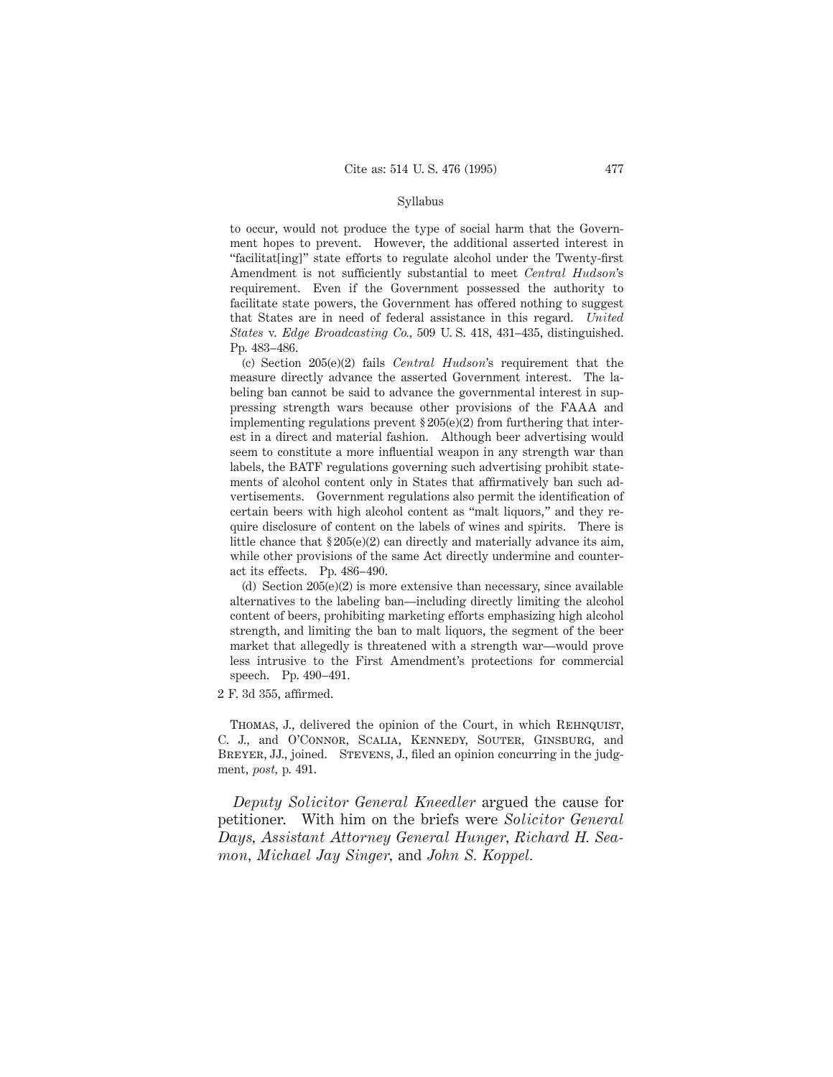#### Syllabus

to occur, would not produce the type of social harm that the Government hopes to prevent. However, the additional asserted interest in "facilitat[ing]" state efforts to regulate alcohol under the Twenty-first Amendment is not sufficiently substantial to meet *Central Hudson*'s requirement. Even if the Government possessed the authority to facilitate state powers, the Government has offered nothing to suggest that States are in need of federal assistance in this regard. *United States* v. *Edge Broadcasting Co.,* 509 U. S. 418, 431–435, distinguished. Pp. 483–486.

(c) Section 205(e)(2) fails *Central Hudson*'s requirement that the measure directly advance the asserted Government interest. The labeling ban cannot be said to advance the governmental interest in suppressing strength wars because other provisions of the FAAA and implementing regulations prevent § 205(e)(2) from furthering that interest in a direct and material fashion. Although beer advertising would seem to constitute a more influential weapon in any strength war than labels, the BATF regulations governing such advertising prohibit statements of alcohol content only in States that affirmatively ban such advertisements. Government regulations also permit the identification of certain beers with high alcohol content as "malt liquors," and they require disclosure of content on the labels of wines and spirits. There is little chance that § 205(e)(2) can directly and materially advance its aim, while other provisions of the same Act directly undermine and counteract its effects. Pp. 486–490.

(d) Section 205(e)(2) is more extensive than necessary, since available alternatives to the labeling ban—including directly limiting the alcohol content of beers, prohibiting marketing efforts emphasizing high alcohol strength, and limiting the ban to malt liquors, the segment of the beer market that allegedly is threatened with a strength war—would prove less intrusive to the First Amendment's protections for commercial speech. Pp. 490–491.

2 F. 3d 355, affirmed.

THOMAS, J., delivered the opinion of the Court, in which REHNQUIST, C. J., and O'Connor, Scalia, Kennedy, Souter, Ginsburg, and BREYER, JJ., joined. STEVENS, J., filed an opinion concurring in the judgment, *post,* p. 491.

*Deputy Solicitor General Kneedler* argued the cause for petitioner. With him on the briefs were *Solicitor General Days, Assistant Attorney General Hunger, Richard H. Seamon, Michael Jay Singer,* and *John S. Koppel.*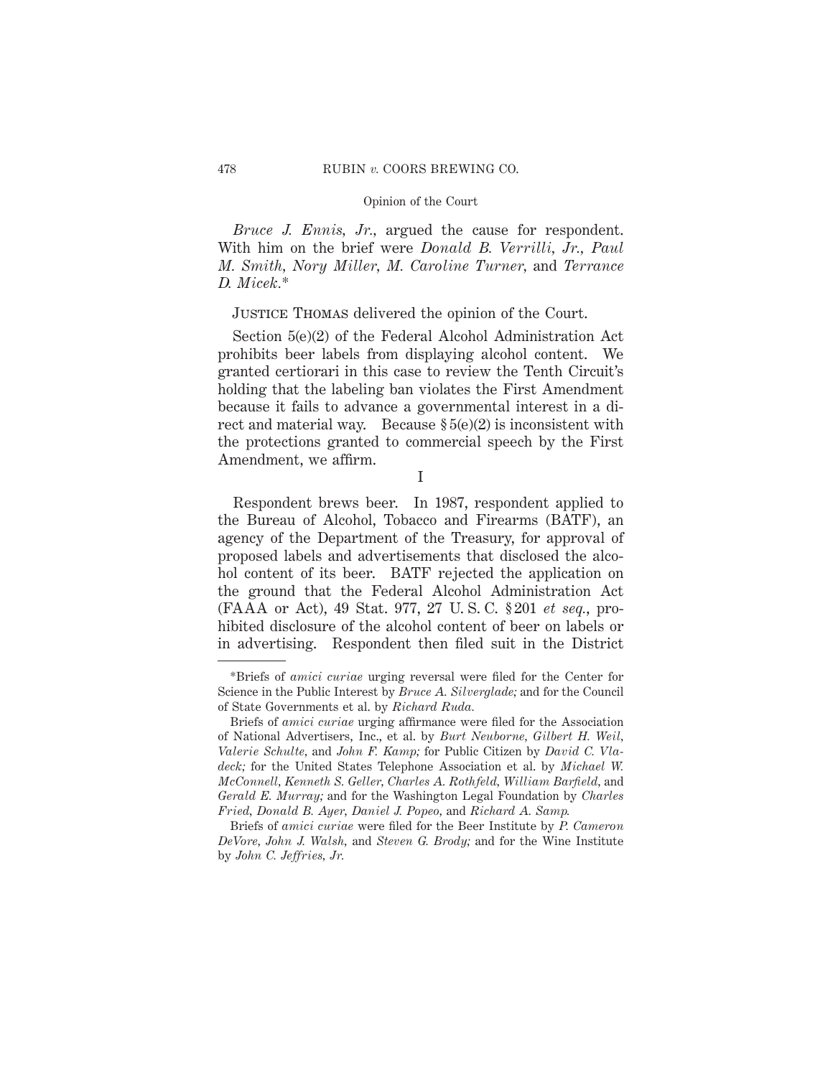*Bruce J. Ennis, Jr.,* argued the cause for respondent. With him on the brief were *Donald B. Verrilli, Jr., Paul M. Smith, Nory Miller, M. Caroline Turner,* and *Terrance D. Micek.*\*

# Justice Thomas delivered the opinion of the Court.

Section 5(e)(2) of the Federal Alcohol Administration Act prohibits beer labels from displaying alcohol content. We granted certiorari in this case to review the Tenth Circuit's holding that the labeling ban violates the First Amendment because it fails to advance a governmental interest in a direct and material way. Because  $\S5(e)(2)$  is inconsistent with the protections granted to commercial speech by the First Amendment, we affirm.

I

Respondent brews beer. In 1987, respondent applied to the Bureau of Alcohol, Tobacco and Firearms (BATF), an agency of the Department of the Treasury, for approval of proposed labels and advertisements that disclosed the alcohol content of its beer. BATF rejected the application on the ground that the Federal Alcohol Administration Act (FAAA or Act), 49 Stat. 977, 27 U. S. C. § 201 *et seq.*, prohibited disclosure of the alcohol content of beer on labels or in advertising. Respondent then filed suit in the District

<sup>\*</sup>Briefs of *amici curiae* urging reversal were filed for the Center for Science in the Public Interest by *Bruce A. Silverglade;* and for the Council of State Governments et al. by *Richard Ruda.*

Briefs of *amici curiae* urging affirmance were filed for the Association of National Advertisers, Inc., et al. by *Burt Neuborne, Gilbert H. Weil, Valerie Schulte,* and *John F. Kamp;* for Public Citizen by *David C. Vladeck;* for the United States Telephone Association et al. by *Michael W. McConnell, Kenneth S. Geller, Charles A. Rothfeld, William Barfield,* and *Gerald E. Murray;* and for the Washington Legal Foundation by *Charles Fried, Donald B. Ayer, Daniel J. Popeo,* and *Richard A. Samp.*

Briefs of *amici curiae* were filed for the Beer Institute by *P. Cameron DeVore, John J. Walsh,* and *Steven G. Brody;* and for the Wine Institute by *John C. Jeffries, Jr.*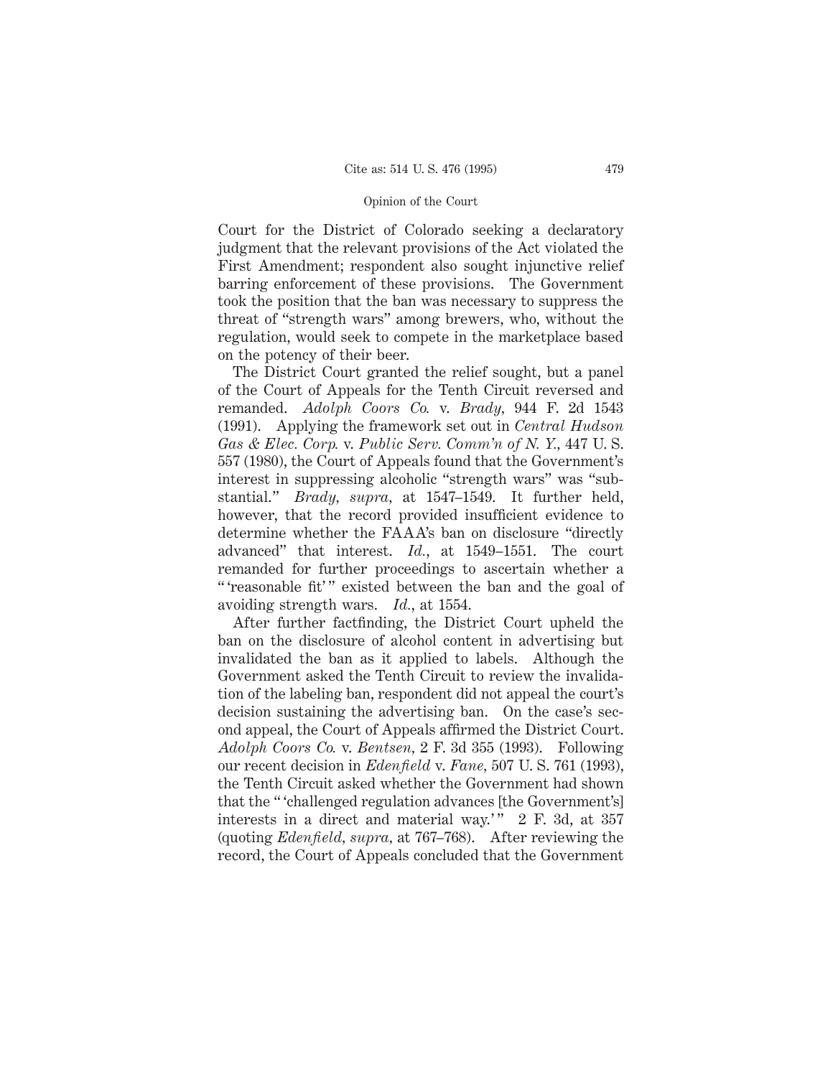Court for the District of Colorado seeking a declaratory judgment that the relevant provisions of the Act violated the First Amendment; respondent also sought injunctive relief barring enforcement of these provisions. The Government took the position that the ban was necessary to suppress the threat of "strength wars" among brewers, who, without the regulation, would seek to compete in the marketplace based on the potency of their beer.

The District Court granted the relief sought, but a panel of the Court of Appeals for the Tenth Circuit reversed and remanded. *Adolph Coors Co.* v. *Brady,* 944 F. 2d 1543 (1991). Applying the framework set out in *Central Hudson Gas & Elec. Corp.* v. *Public Serv. Comm'n of N. Y.,* 447 U. S. 557 (1980), the Court of Appeals found that the Government's interest in suppressing alcoholic "strength wars" was "substantial." *Brady, supra,* at 1547–1549. It further held, however, that the record provided insufficient evidence to determine whether the FAAA's ban on disclosure "directly advanced" that interest. *Id.*, at 1549–1551. The court remanded for further proceedings to ascertain whether a " 'reasonable fit'" existed between the ban and the goal of avoiding strength wars. *Id.*, at 1554.

After further factfinding, the District Court upheld the ban on the disclosure of alcohol content in advertising but invalidated the ban as it applied to labels. Although the Government asked the Tenth Circuit to review the invalidation of the labeling ban, respondent did not appeal the court's decision sustaining the advertising ban. On the case's second appeal, the Court of Appeals affirmed the District Court. *Adolph Coors Co.* v. *Bentsen,* 2 F. 3d 355 (1993). Following our recent decision in *Edenfield* v. *Fane,* 507 U. S. 761 (1993), the Tenth Circuit asked whether the Government had shown that the " 'challenged regulation advances [the Government's] interests in a direct and material way.'"  $2 \text{ F}$ . 3d, at 357 (quoting *Edenfield, supra,* at 767–768). After reviewing the record, the Court of Appeals concluded that the Government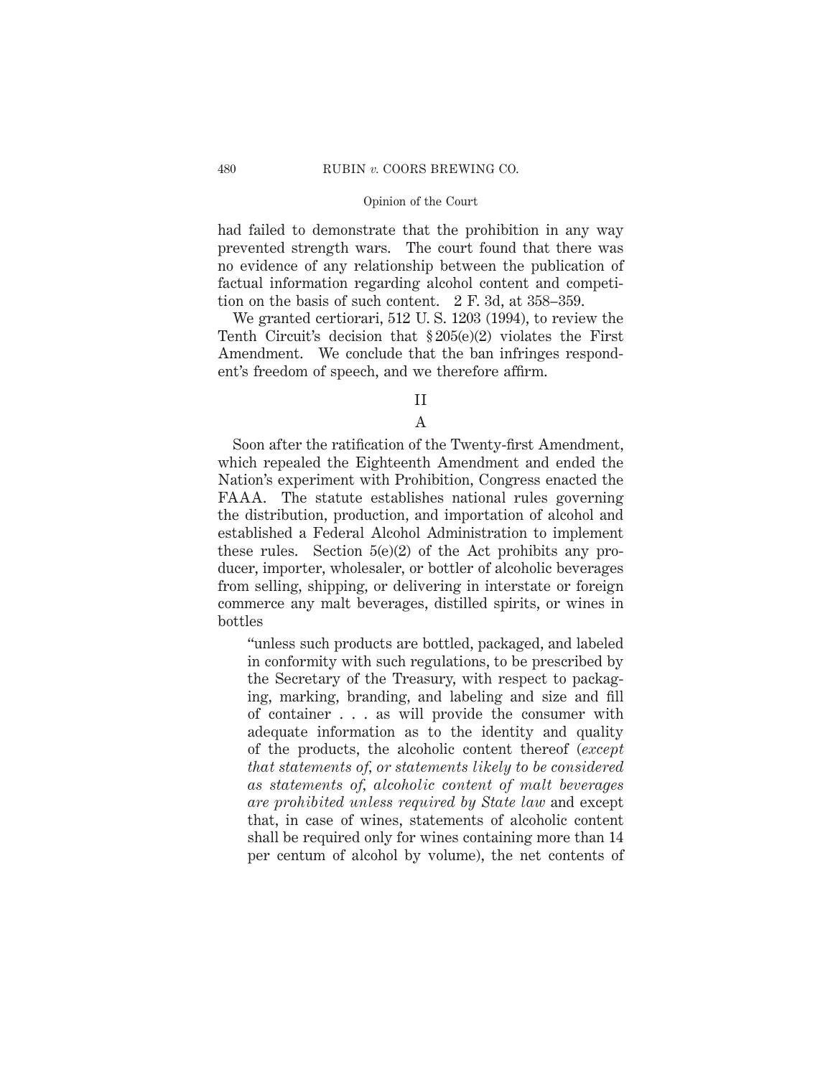had failed to demonstrate that the prohibition in any way prevented strength wars. The court found that there was no evidence of any relationship between the publication of factual information regarding alcohol content and competition on the basis of such content. 2 F. 3d, at 358–359.

We granted certiorari, 512 U. S. 1203 (1994), to review the Tenth Circuit's decision that § 205(e)(2) violates the First Amendment. We conclude that the ban infringes respondent's freedom of speech, and we therefore affirm.

II

A

Soon after the ratification of the Twenty-first Amendment, which repealed the Eighteenth Amendment and ended the Nation's experiment with Prohibition, Congress enacted the FAAA. The statute establishes national rules governing the distribution, production, and importation of alcohol and established a Federal Alcohol Administration to implement these rules. Section 5(e)(2) of the Act prohibits any producer, importer, wholesaler, or bottler of alcoholic beverages from selling, shipping, or delivering in interstate or foreign commerce any malt beverages, distilled spirits, or wines in bottles

"unless such products are bottled, packaged, and labeled in conformity with such regulations, to be prescribed by the Secretary of the Treasury, with respect to packaging, marking, branding, and labeling and size and fill of container . . . as will provide the consumer with adequate information as to the identity and quality of the products, the alcoholic content thereof (*except that statements of, or statements likely to be considered as statements of, alcoholic content of malt beverages are prohibited unless required by State law* and except that, in case of wines, statements of alcoholic content shall be required only for wines containing more than 14 per centum of alcohol by volume), the net contents of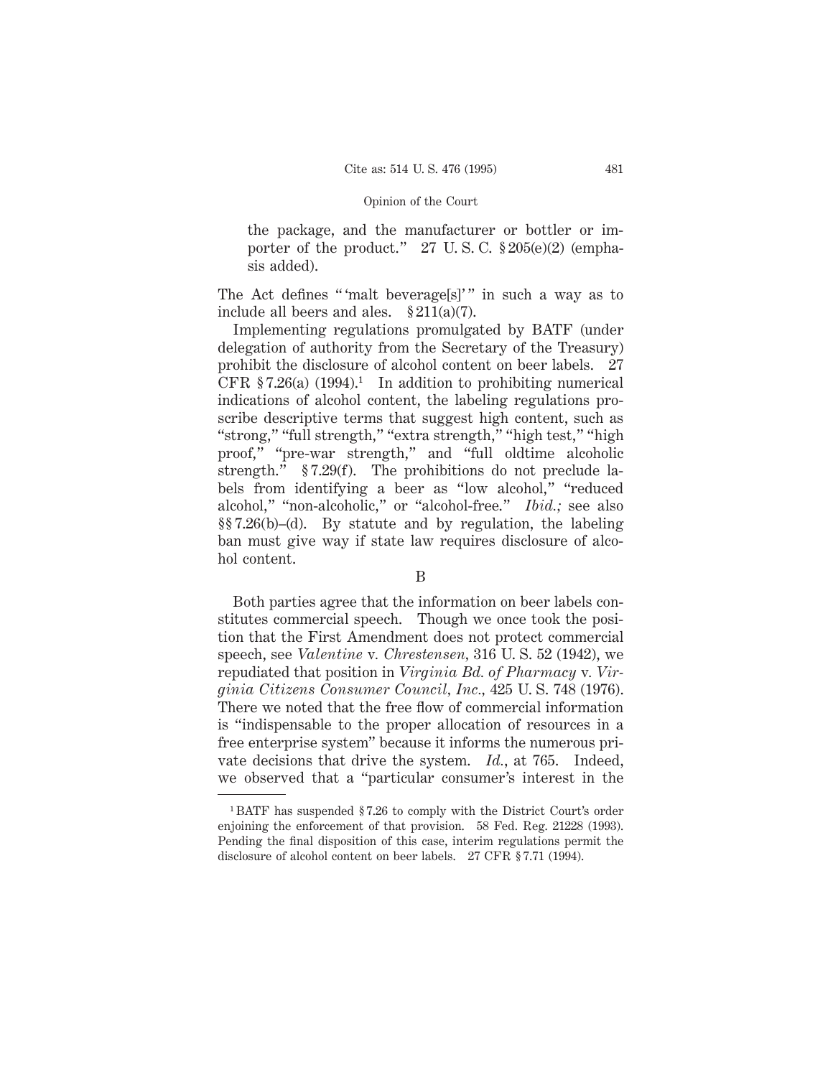the package, and the manufacturer or bottler or importer of the product."  $27 \text{ U.S. C. }$  \$205(e)(2) (emphasis added).

The Act defines "'malt beverage[s]'" in such a way as to include all beers and ales.  $\S 211(a)(7)$ .

Implementing regulations promulgated by BATF (under delegation of authority from the Secretary of the Treasury) prohibit the disclosure of alcohol content on beer labels. 27 CFR  $$7.26(a) (1994).<sup>1</sup>$  In addition to prohibiting numerical indications of alcohol content, the labeling regulations proscribe descriptive terms that suggest high content, such as "strong," "full strength," "extra strength," "high test," "high proof," "pre-war strength," and "full oldtime alcoholic strength." § 7.29(f). The prohibitions do not preclude labels from identifying a beer as "low alcohol," "reduced alcohol," "non-alcoholic," or "alcohol-free." *Ibid.;* see also §§ 7.26(b)–(d). By statute and by regulation, the labeling ban must give way if state law requires disclosure of alcohol content.

# B

Both parties agree that the information on beer labels constitutes commercial speech. Though we once took the position that the First Amendment does not protect commercial speech, see *Valentine* v*. Chrestensen,* 316 U. S. 52 (1942), we repudiated that position in *Virginia Bd. of Pharmacy* v*. Virginia Citizens Consumer Council, Inc.,* 425 U. S. 748 (1976). There we noted that the free flow of commercial information is "indispensable to the proper allocation of resources in a free enterprise system" because it informs the numerous private decisions that drive the system. *Id.*, at 765. Indeed, we observed that a "particular consumer's interest in the

<sup>1</sup> BATF has suspended § 7.26 to comply with the District Court's order enjoining the enforcement of that provision. 58 Fed. Reg. 21228 (1993). Pending the final disposition of this case, interim regulations permit the disclosure of alcohol content on beer labels. 27 CFR § 7.71 (1994).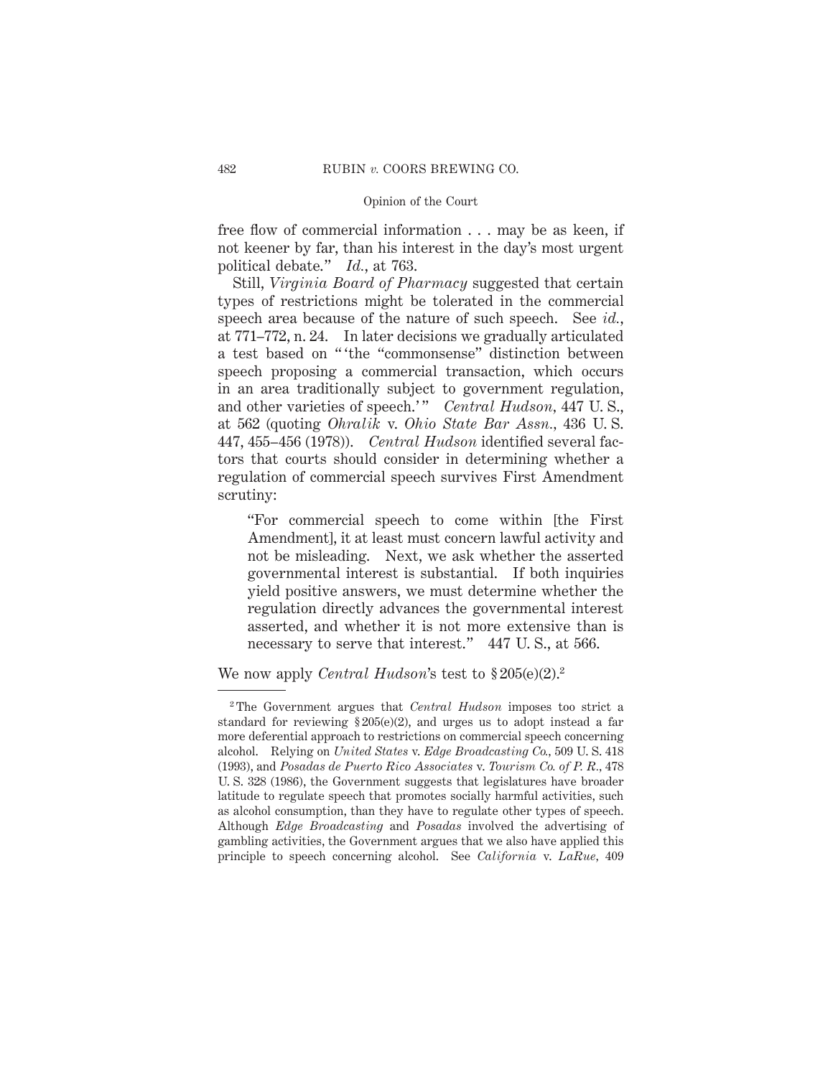free flow of commercial information . . . may be as keen, if not keener by far, than his interest in the day's most urgent political debate." *Id.*, at 763.

Still, *Virginia Board of Pharmacy* suggested that certain types of restrictions might be tolerated in the commercial speech area because of the nature of such speech. See *id.*, at 771–772, n. 24. In later decisions we gradually articulated a test based on " 'the "commonsense" distinction between speech proposing a commercial transaction, which occurs in an area traditionally subject to government regulation, and other varieties of speech.'" *Central Hudson*, 447 U.S., at 562 (quoting *Ohralik* v. *Ohio State Bar Assn.,* 436 U. S. 447, 455–456 (1978)). *Central Hudson* identified several factors that courts should consider in determining whether a regulation of commercial speech survives First Amendment scrutiny:

"For commercial speech to come within [the First Amendment], it at least must concern lawful activity and not be misleading. Next, we ask whether the asserted governmental interest is substantial. If both inquiries yield positive answers, we must determine whether the regulation directly advances the governmental interest asserted, and whether it is not more extensive than is necessary to serve that interest." 447 U. S., at 566.

We now apply *Central Hudson*'s test to § 205(e)(2).2

<sup>2</sup> The Government argues that *Central Hudson* imposes too strict a standard for reviewing  $\S 205(e)(2)$ , and urges us to adopt instead a far more deferential approach to restrictions on commercial speech concerning alcohol. Relying on *United States* v. *Edge Broadcasting Co.,* 509 U. S. 418 (1993), and *Posadas de Puerto Rico Associates* v. *Tourism Co. of P. R.,* 478 U. S. 328 (1986), the Government suggests that legislatures have broader latitude to regulate speech that promotes socially harmful activities, such as alcohol consumption, than they have to regulate other types of speech. Although *Edge Broadcasting* and *Posadas* involved the advertising of gambling activities, the Government argues that we also have applied this principle to speech concerning alcohol. See *California* v. *LaRue,* 409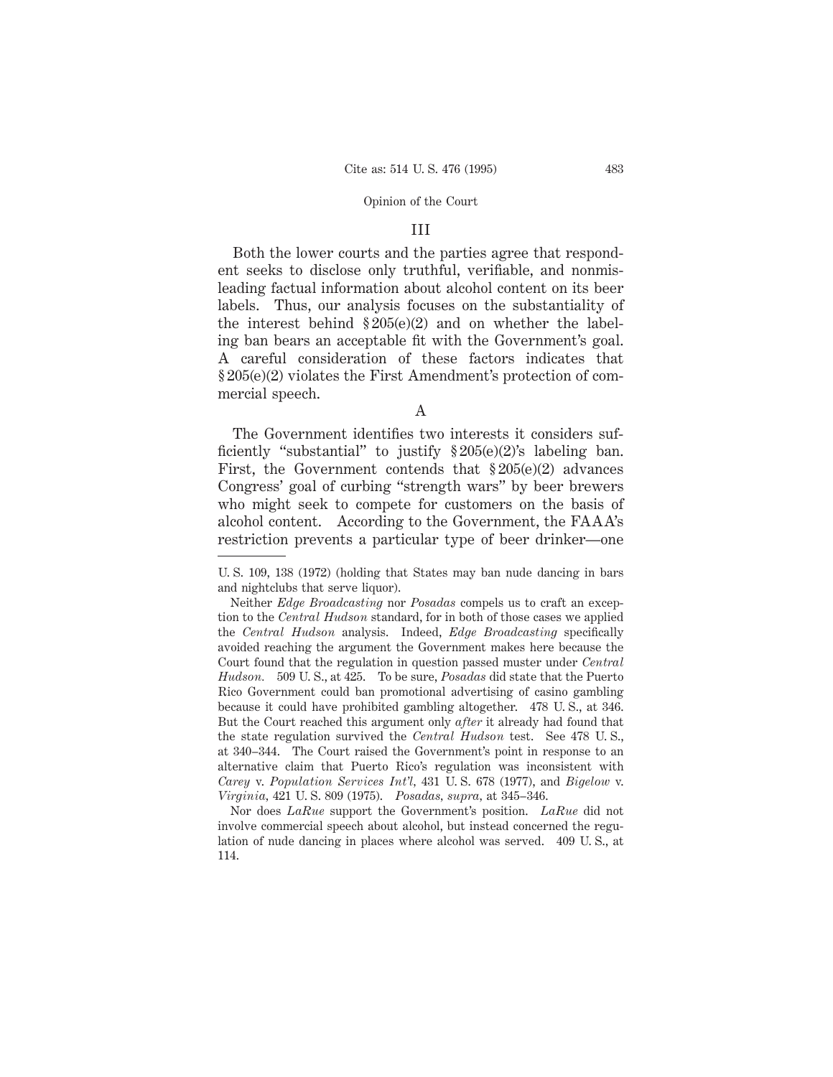### III

Both the lower courts and the parties agree that respondent seeks to disclose only truthful, verifiable, and nonmisleading factual information about alcohol content on its beer labels. Thus, our analysis focuses on the substantiality of the interest behind  $\S 205(e)(2)$  and on whether the labeling ban bears an acceptable fit with the Government's goal. A careful consideration of these factors indicates that § 205(e)(2) violates the First Amendment's protection of commercial speech.

A

The Government identifies two interests it considers sufficiently "substantial" to justify § 205(e)(2)'s labeling ban. First, the Government contends that  $\S 205(e)(2)$  advances Congress' goal of curbing "strength wars" by beer brewers who might seek to compete for customers on the basis of alcohol content. According to the Government, the FAAA's restriction prevents a particular type of beer drinker—one

Nor does *LaRue* support the Government's position. *LaRue* did not involve commercial speech about alcohol, but instead concerned the regulation of nude dancing in places where alcohol was served. 409 U. S., at 114.

U. S. 109, 138 (1972) (holding that States may ban nude dancing in bars and nightclubs that serve liquor).

Neither *Edge Broadcasting* nor *Posadas* compels us to craft an exception to the *Central Hudson* standard, for in both of those cases we applied the *Central Hudson* analysis. Indeed, *Edge Broadcasting* specifically avoided reaching the argument the Government makes here because the Court found that the regulation in question passed muster under *Central Hudson.* 509 U. S., at 425. To be sure, *Posadas* did state that the Puerto Rico Government could ban promotional advertising of casino gambling because it could have prohibited gambling altogether. 478 U. S., at 346. But the Court reached this argument only *after* it already had found that the state regulation survived the *Central Hudson* test. See 478 U. S., at 340–344. The Court raised the Government's point in response to an alternative claim that Puerto Rico's regulation was inconsistent with *Carey* v. *Population Services Int'l,* 431 U. S. 678 (1977), and *Bigelow* v. *Virginia,* 421 U. S. 809 (1975). *Posadas, supra,* at 345–346.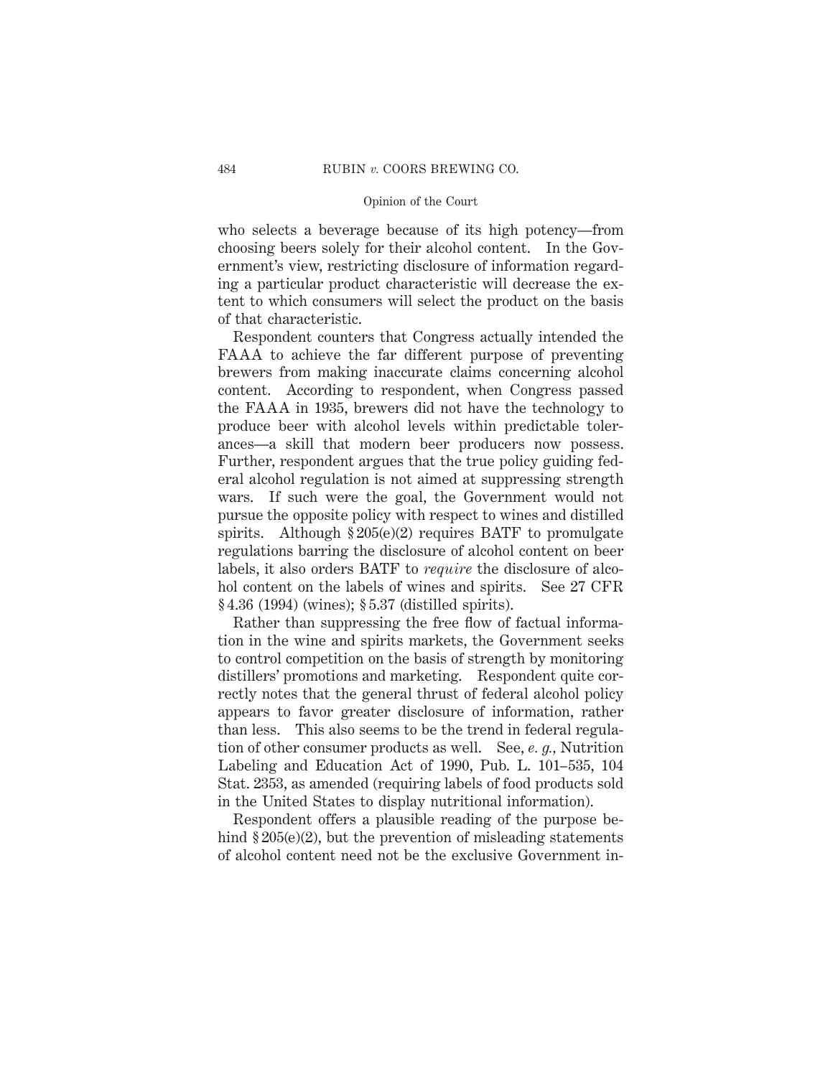who selects a beverage because of its high potency—from choosing beers solely for their alcohol content. In the Government's view, restricting disclosure of information regarding a particular product characteristic will decrease the extent to which consumers will select the product on the basis of that characteristic.

Respondent counters that Congress actually intended the FAAA to achieve the far different purpose of preventing brewers from making inaccurate claims concerning alcohol content. According to respondent, when Congress passed the FAAA in 1935, brewers did not have the technology to produce beer with alcohol levels within predictable tolerances—a skill that modern beer producers now possess. Further, respondent argues that the true policy guiding federal alcohol regulation is not aimed at suppressing strength wars. If such were the goal, the Government would not pursue the opposite policy with respect to wines and distilled spirits. Although  $\S 205(e)(2)$  requires BATF to promulgate regulations barring the disclosure of alcohol content on beer labels, it also orders BATF to *require* the disclosure of alcohol content on the labels of wines and spirits. See 27 CFR § 4.36 (1994) (wines); § 5.37 (distilled spirits).

Rather than suppressing the free flow of factual information in the wine and spirits markets, the Government seeks to control competition on the basis of strength by monitoring distillers' promotions and marketing. Respondent quite correctly notes that the general thrust of federal alcohol policy appears to favor greater disclosure of information, rather than less. This also seems to be the trend in federal regulation of other consumer products as well. See, *e. g.,* Nutrition Labeling and Education Act of 1990, Pub. L. 101–535, 104 Stat. 2353, as amended (requiring labels of food products sold in the United States to display nutritional information).

Respondent offers a plausible reading of the purpose behind § 205(e)(2), but the prevention of misleading statements of alcohol content need not be the exclusive Government in-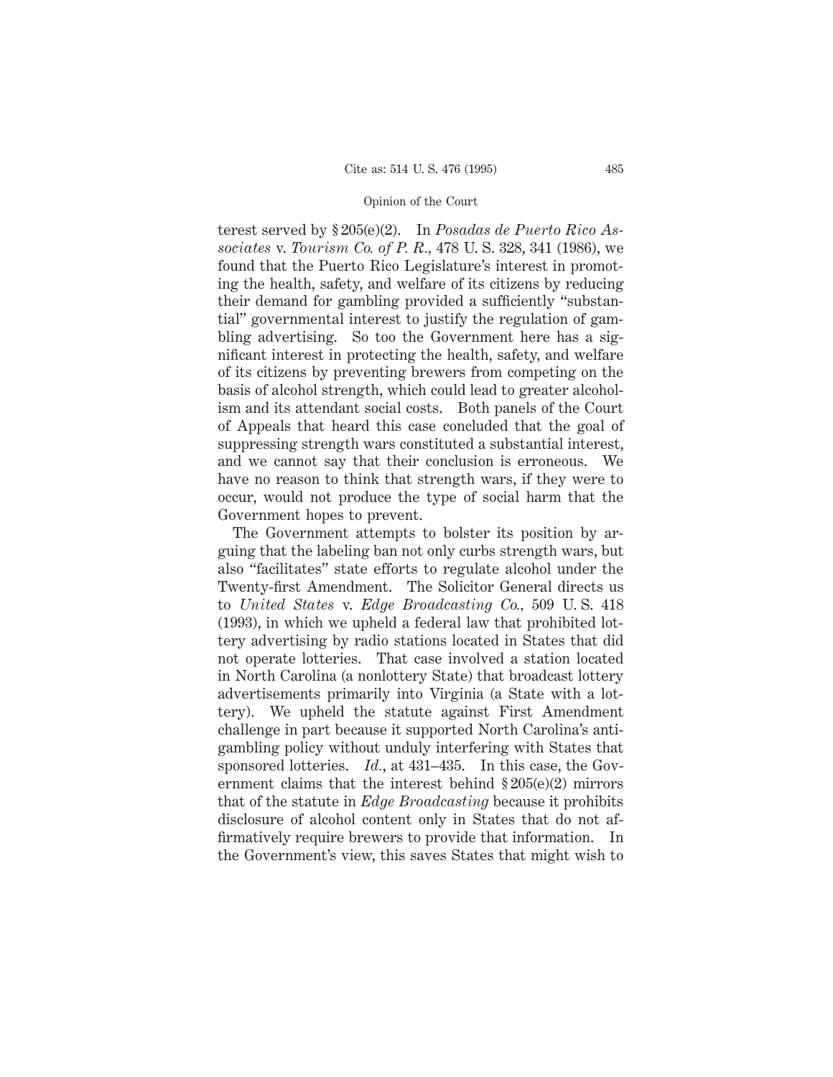terest served by § 205(e)(2). In *Posadas de Puerto Rico Associates* v. *Tourism Co. of P. R.,* 478 U. S. 328, 341 (1986), we found that the Puerto Rico Legislature's interest in promoting the health, safety, and welfare of its citizens by reducing their demand for gambling provided a sufficiently "substantial" governmental interest to justify the regulation of gambling advertising. So too the Government here has a significant interest in protecting the health, safety, and welfare of its citizens by preventing brewers from competing on the basis of alcohol strength, which could lead to greater alcoholism and its attendant social costs. Both panels of the Court of Appeals that heard this case concluded that the goal of suppressing strength wars constituted a substantial interest, and we cannot say that their conclusion is erroneous. We have no reason to think that strength wars, if they were to occur, would not produce the type of social harm that the Government hopes to prevent.

The Government attempts to bolster its position by arguing that the labeling ban not only curbs strength wars, but also "facilitates" state efforts to regulate alcohol under the Twenty-first Amendment. The Solicitor General directs us to *United States* v. *Edge Broadcasting Co.,* 509 U. S. 418 (1993), in which we upheld a federal law that prohibited lottery advertising by radio stations located in States that did not operate lotteries. That case involved a station located in North Carolina (a nonlottery State) that broadcast lottery advertisements primarily into Virginia (a State with a lottery). We upheld the statute against First Amendment challenge in part because it supported North Carolina's antigambling policy without unduly interfering with States that sponsored lotteries. *Id.*, at 431–435. In this case, the Government claims that the interest behind § 205(e)(2) mirrors that of the statute in *Edge Broadcasting* because it prohibits disclosure of alcohol content only in States that do not affirmatively require brewers to provide that information. In the Government's view, this saves States that might wish to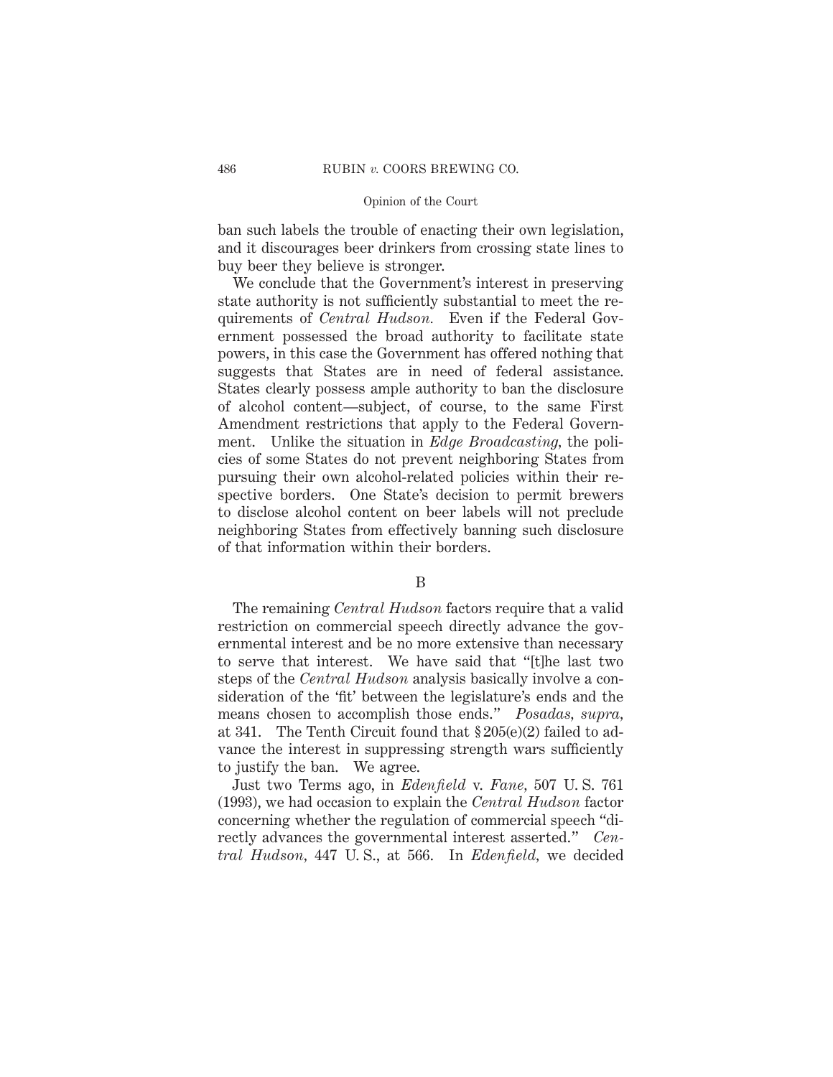ban such labels the trouble of enacting their own legislation, and it discourages beer drinkers from crossing state lines to buy beer they believe is stronger.

We conclude that the Government's interest in preserving state authority is not sufficiently substantial to meet the requirements of *Central Hudson.* Even if the Federal Government possessed the broad authority to facilitate state powers, in this case the Government has offered nothing that suggests that States are in need of federal assistance. States clearly possess ample authority to ban the disclosure of alcohol content—subject, of course, to the same First Amendment restrictions that apply to the Federal Government. Unlike the situation in *Edge Broadcasting,* the policies of some States do not prevent neighboring States from pursuing their own alcohol-related policies within their respective borders. One State's decision to permit brewers to disclose alcohol content on beer labels will not preclude neighboring States from effectively banning such disclosure of that information within their borders.

B

The remaining *Central Hudson* factors require that a valid restriction on commercial speech directly advance the governmental interest and be no more extensive than necessary to serve that interest. We have said that "[t]he last two steps of the *Central Hudson* analysis basically involve a consideration of the 'fit' between the legislature's ends and the means chosen to accomplish those ends." *Posadas, supra,* at 341. The Tenth Circuit found that § 205(e)(2) failed to advance the interest in suppressing strength wars sufficiently to justify the ban. We agree.

Just two Terms ago, in *Edenfield* v. *Fane,* 507 U. S. 761 (1993), we had occasion to explain the *Central Hudson* factor concerning whether the regulation of commercial speech "directly advances the governmental interest asserted." *Central Hudson,* 447 U. S., at 566. In *Edenfield,* we decided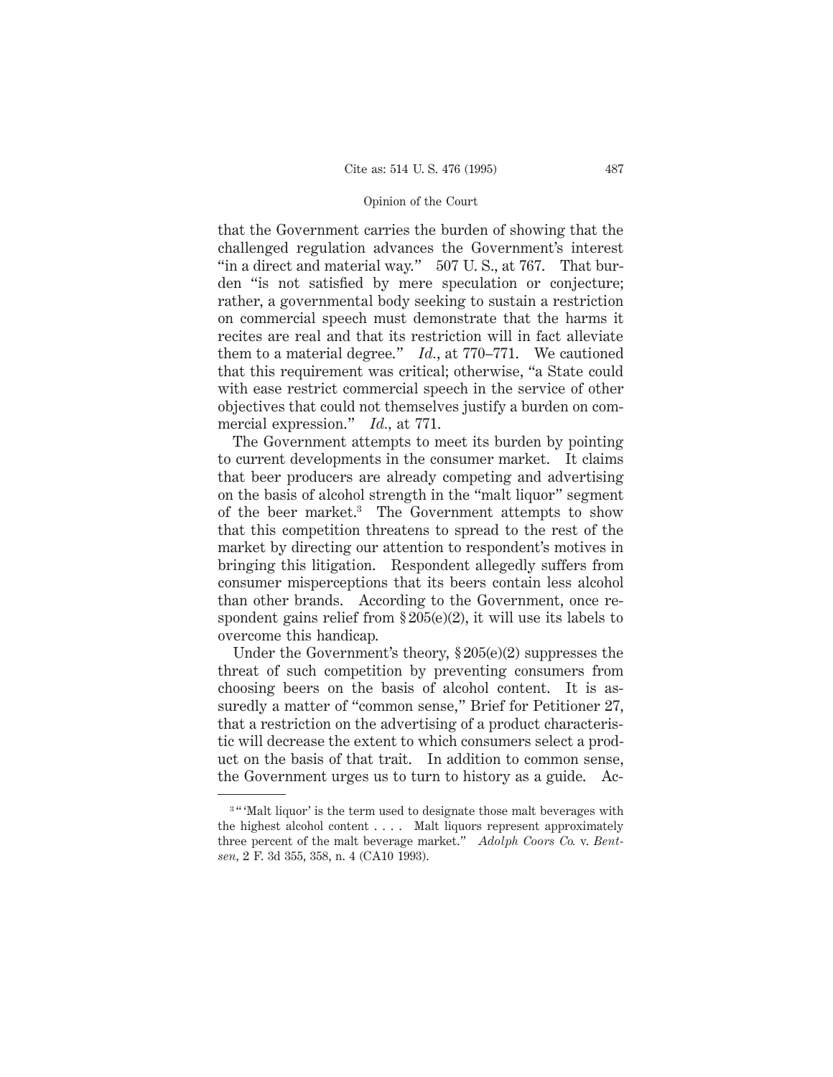that the Government carries the burden of showing that the challenged regulation advances the Government's interest "in a direct and material way." 507 U.S., at 767. That burden "is not satisfied by mere speculation or conjecture; rather, a governmental body seeking to sustain a restriction on commercial speech must demonstrate that the harms it recites are real and that its restriction will in fact alleviate them to a material degree." *Id.*, at 770–771. We cautioned that this requirement was critical; otherwise, "a State could with ease restrict commercial speech in the service of other objectives that could not themselves justify a burden on commercial expression." *Id.,* at 771.

The Government attempts to meet its burden by pointing to current developments in the consumer market. It claims that beer producers are already competing and advertising on the basis of alcohol strength in the "malt liquor" segment of the beer market.3 The Government attempts to show that this competition threatens to spread to the rest of the market by directing our attention to respondent's motives in bringing this litigation. Respondent allegedly suffers from consumer misperceptions that its beers contain less alcohol than other brands. According to the Government, once respondent gains relief from  $\S 205(e)(2)$ , it will use its labels to overcome this handicap.

Under the Government's theory, § 205(e)(2) suppresses the threat of such competition by preventing consumers from choosing beers on the basis of alcohol content. It is assuredly a matter of "common sense," Brief for Petitioner 27, that a restriction on the advertising of a product characteristic will decrease the extent to which consumers select a product on the basis of that trait. In addition to common sense, the Government urges us to turn to history as a guide. Ac-

<sup>&</sup>lt;sup>3</sup> "Malt liquor' is the term used to designate those malt beverages with the highest alcohol content . . . . Malt liquors represent approximately three percent of the malt beverage market." *Adolph Coors Co.* v. *Bentsen,* 2 F. 3d 355, 358, n. 4 (CA10 1993).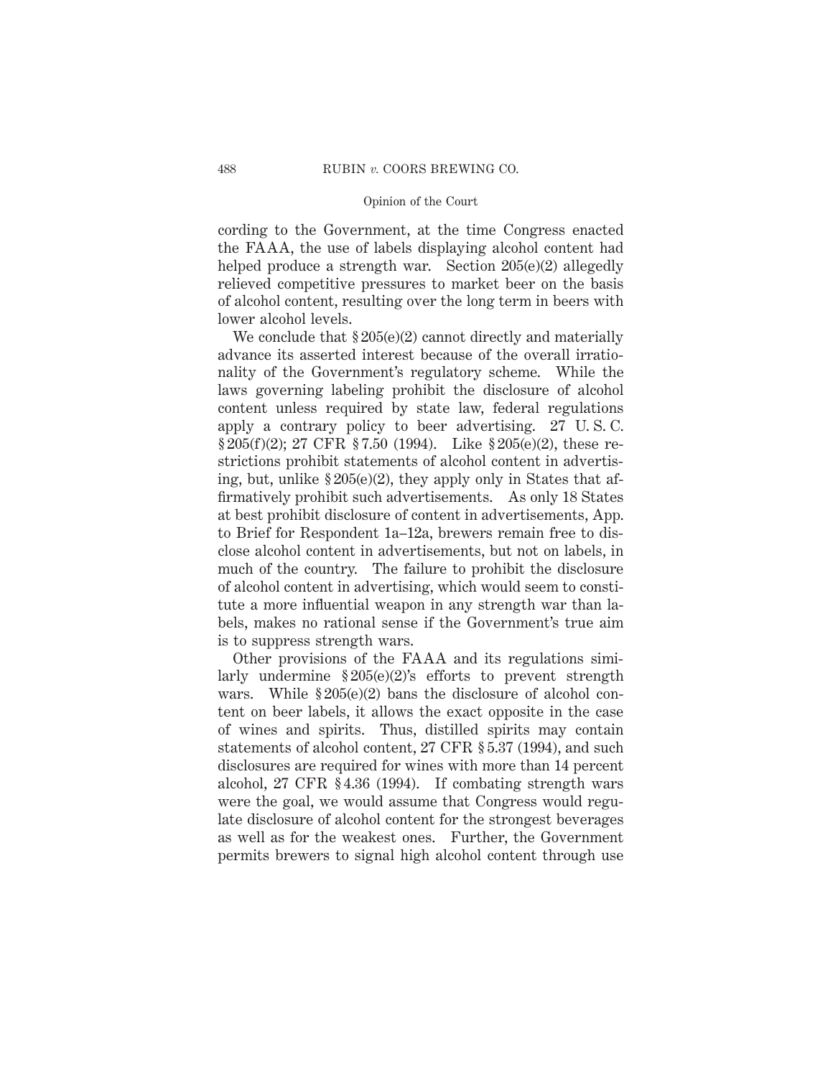cording to the Government, at the time Congress enacted the FAAA, the use of labels displaying alcohol content had helped produce a strength war. Section 205(e)(2) allegedly relieved competitive pressures to market beer on the basis of alcohol content, resulting over the long term in beers with lower alcohol levels.

We conclude that  $\S 205(e)(2)$  cannot directly and materially advance its asserted interest because of the overall irrationality of the Government's regulatory scheme. While the laws governing labeling prohibit the disclosure of alcohol content unless required by state law, federal regulations apply a contrary policy to beer advertising. 27 U. S. C.  $\S 205(f)(2)$ ; 27 CFR  $\S 7.50$  (1994). Like  $\S 205(e)(2)$ , these restrictions prohibit statements of alcohol content in advertising, but, unlike  $\S 205(e)(2)$ , they apply only in States that affirmatively prohibit such advertisements. As only 18 States at best prohibit disclosure of content in advertisements, App. to Brief for Respondent 1a–12a, brewers remain free to disclose alcohol content in advertisements, but not on labels, in much of the country. The failure to prohibit the disclosure of alcohol content in advertising, which would seem to constitute a more influential weapon in any strength war than labels, makes no rational sense if the Government's true aim is to suppress strength wars.

Other provisions of the FAAA and its regulations similarly undermine  $$205(e)(2)$ 's efforts to prevent strength wars. While  $\S 205(e)(2)$  bans the disclosure of alcohol content on beer labels, it allows the exact opposite in the case of wines and spirits. Thus, distilled spirits may contain statements of alcohol content, 27 CFR § 5.37 (1994), and such disclosures are required for wines with more than 14 percent alcohol, 27 CFR § 4.36 (1994). If combating strength wars were the goal, we would assume that Congress would regulate disclosure of alcohol content for the strongest beverages as well as for the weakest ones. Further, the Government permits brewers to signal high alcohol content through use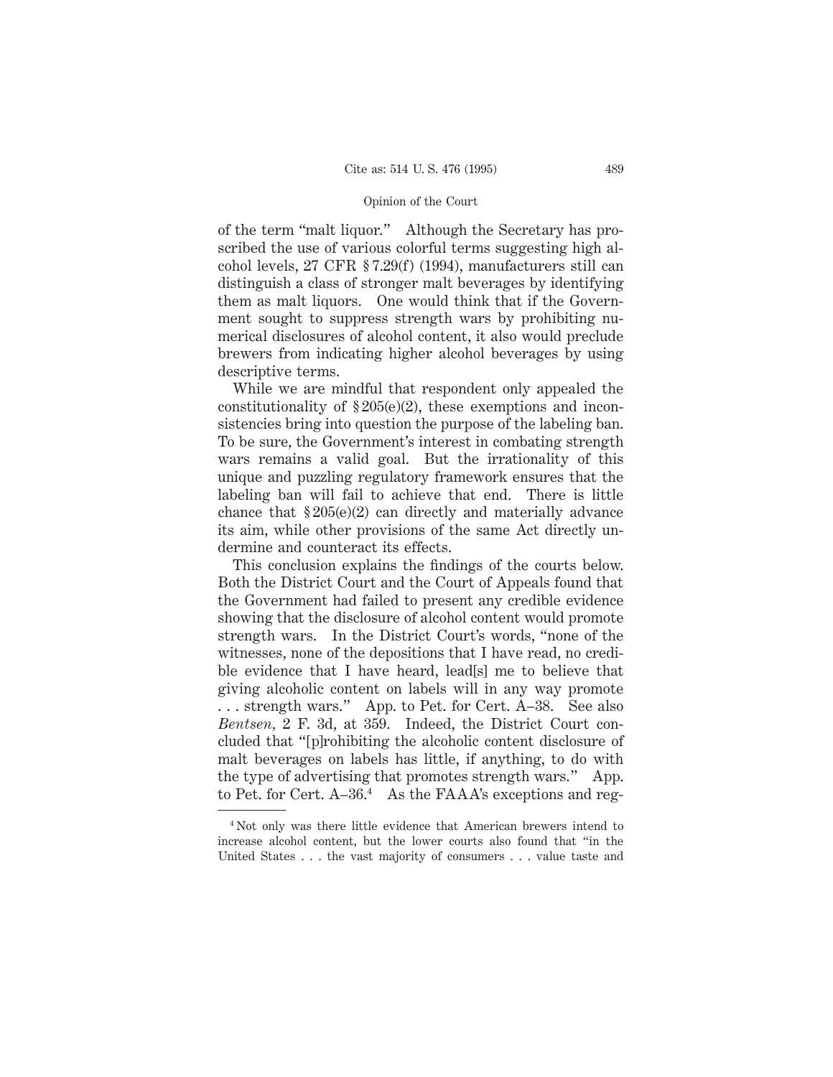of the term "malt liquor." Although the Secretary has proscribed the use of various colorful terms suggesting high alcohol levels, 27 CFR § 7.29(f) (1994), manufacturers still can distinguish a class of stronger malt beverages by identifying them as malt liquors. One would think that if the Government sought to suppress strength wars by prohibiting numerical disclosures of alcohol content, it also would preclude brewers from indicating higher alcohol beverages by using descriptive terms.

While we are mindful that respondent only appealed the constitutionality of  $\S 205(e)(2)$ , these exemptions and inconsistencies bring into question the purpose of the labeling ban. To be sure, the Government's interest in combating strength wars remains a valid goal. But the irrationality of this unique and puzzling regulatory framework ensures that the labeling ban will fail to achieve that end. There is little chance that § 205(e)(2) can directly and materially advance its aim, while other provisions of the same Act directly undermine and counteract its effects.

This conclusion explains the findings of the courts below. Both the District Court and the Court of Appeals found that the Government had failed to present any credible evidence showing that the disclosure of alcohol content would promote strength wars. In the District Court's words, "none of the witnesses, none of the depositions that I have read, no credible evidence that I have heard, lead[s] me to believe that giving alcoholic content on labels will in any way promote . . . strength wars." App. to Pet. for Cert. A–38. See also *Bentsen,* 2 F. 3d, at 359. Indeed, the District Court concluded that "[p]rohibiting the alcoholic content disclosure of malt beverages on labels has little, if anything, to do with the type of advertising that promotes strength wars." App. to Pet. for Cert. A-36.<sup>4</sup> As the FAAA's exceptions and reg-

<sup>4</sup> Not only was there little evidence that American brewers intend to increase alcohol content, but the lower courts also found that "in the United States . . . the vast majority of consumers . . . value taste and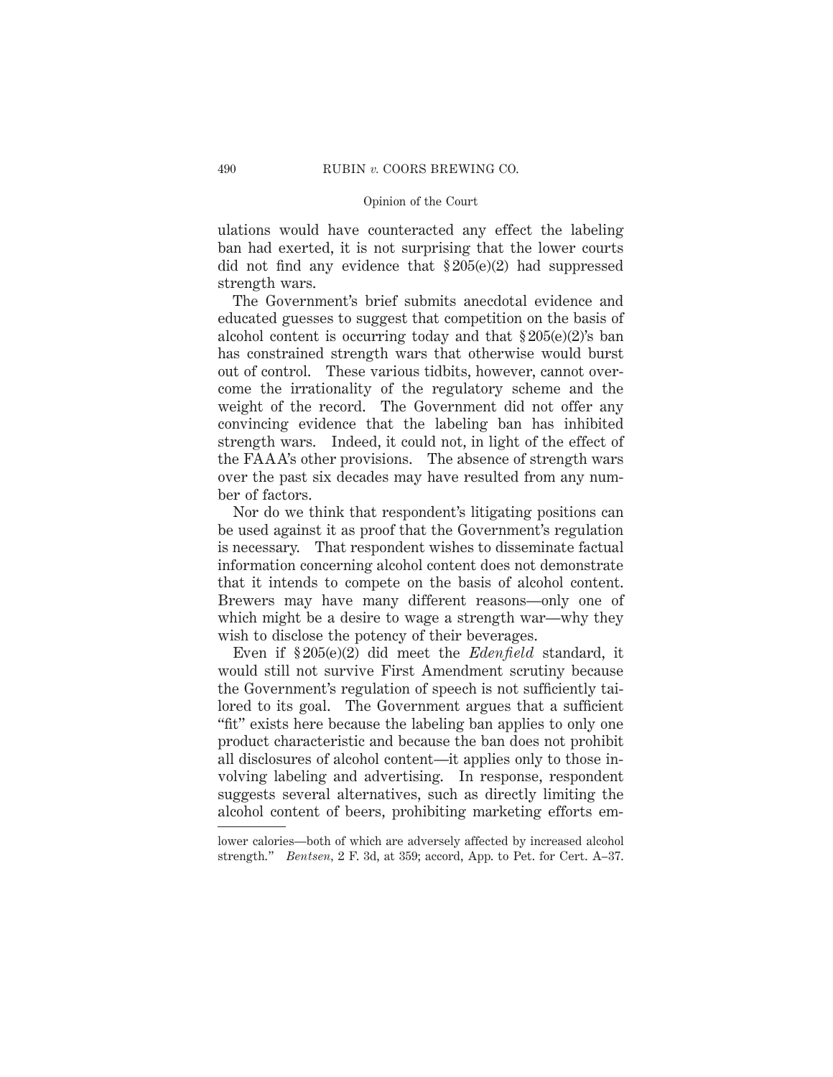ulations would have counteracted any effect the labeling ban had exerted, it is not surprising that the lower courts did not find any evidence that § 205(e)(2) had suppressed strength wars.

The Government's brief submits anecdotal evidence and educated guesses to suggest that competition on the basis of alcohol content is occurring today and that  $\S 205(e)(2)$ 's ban has constrained strength wars that otherwise would burst out of control. These various tidbits, however, cannot overcome the irrationality of the regulatory scheme and the weight of the record. The Government did not offer any convincing evidence that the labeling ban has inhibited strength wars. Indeed, it could not, in light of the effect of the FAAA's other provisions. The absence of strength wars over the past six decades may have resulted from any number of factors.

Nor do we think that respondent's litigating positions can be used against it as proof that the Government's regulation is necessary. That respondent wishes to disseminate factual information concerning alcohol content does not demonstrate that it intends to compete on the basis of alcohol content. Brewers may have many different reasons—only one of which might be a desire to wage a strength war—why they wish to disclose the potency of their beverages.

Even if § 205(e)(2) did meet the *Edenfield* standard, it would still not survive First Amendment scrutiny because the Government's regulation of speech is not sufficiently tailored to its goal. The Government argues that a sufficient "fit" exists here because the labeling ban applies to only one product characteristic and because the ban does not prohibit all disclosures of alcohol content—it applies only to those involving labeling and advertising. In response, respondent suggests several alternatives, such as directly limiting the alcohol content of beers, prohibiting marketing efforts em-

lower calories—both of which are adversely affected by increased alcohol strength." *Bentsen,* 2 F. 3d, at 359; accord, App. to Pet. for Cert. A–37.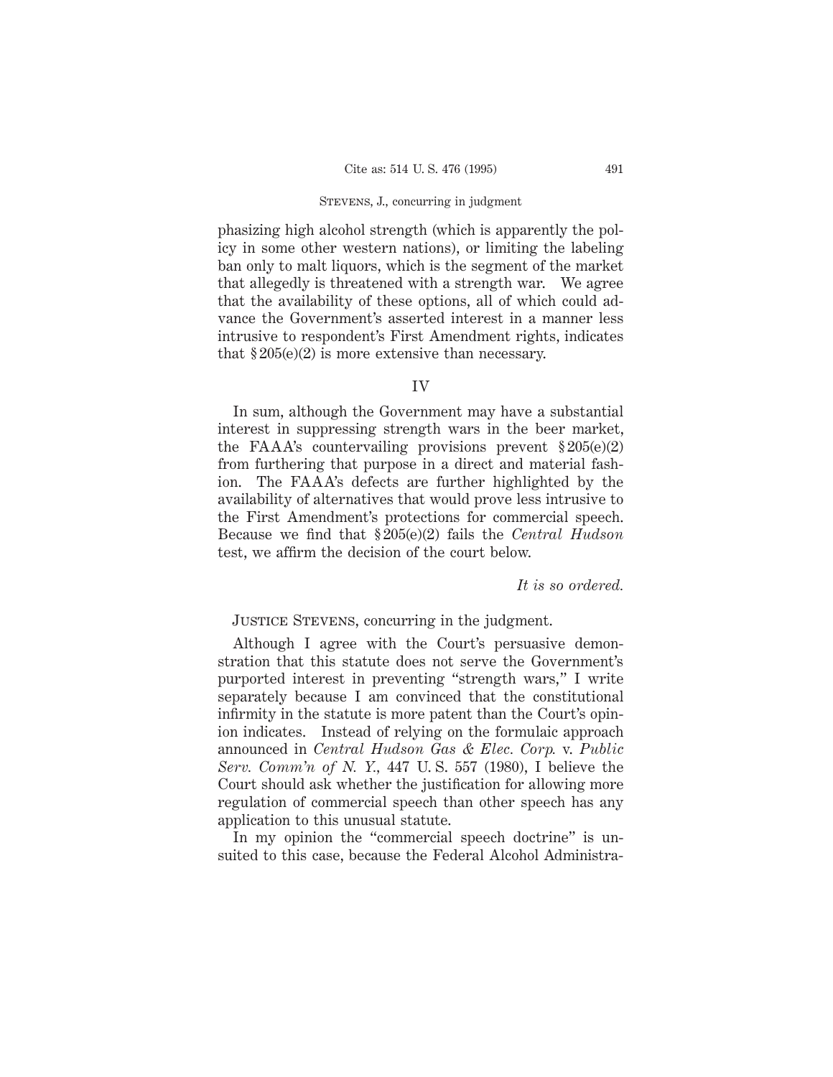phasizing high alcohol strength (which is apparently the policy in some other western nations), or limiting the labeling ban only to malt liquors, which is the segment of the market that allegedly is threatened with a strength war. We agree that the availability of these options, all of which could advance the Government's asserted interest in a manner less intrusive to respondent's First Amendment rights, indicates that  $$205(e)(2)$  is more extensive than necessary.

### IV

In sum, although the Government may have a substantial interest in suppressing strength wars in the beer market, the FAAA's countervailing provisions prevent  $$205(e)(2)$ from furthering that purpose in a direct and material fashion. The FAAA's defects are further highlighted by the availability of alternatives that would prove less intrusive to the First Amendment's protections for commercial speech. Because we find that § 205(e)(2) fails the *Central Hudson* test, we affirm the decision of the court below.

#### *It is so ordered.*

# Justice Stevens, concurring in the judgment.

Although I agree with the Court's persuasive demonstration that this statute does not serve the Government's purported interest in preventing "strength wars," I write separately because I am convinced that the constitutional infirmity in the statute is more patent than the Court's opinion indicates. Instead of relying on the formulaic approach announced in *Central Hudson Gas & Elec. Corp.* v. *Public Serv. Comm'n of N. Y.,* 447 U. S. 557 (1980), I believe the Court should ask whether the justification for allowing more regulation of commercial speech than other speech has any application to this unusual statute.

In my opinion the "commercial speech doctrine" is unsuited to this case, because the Federal Alcohol Administra-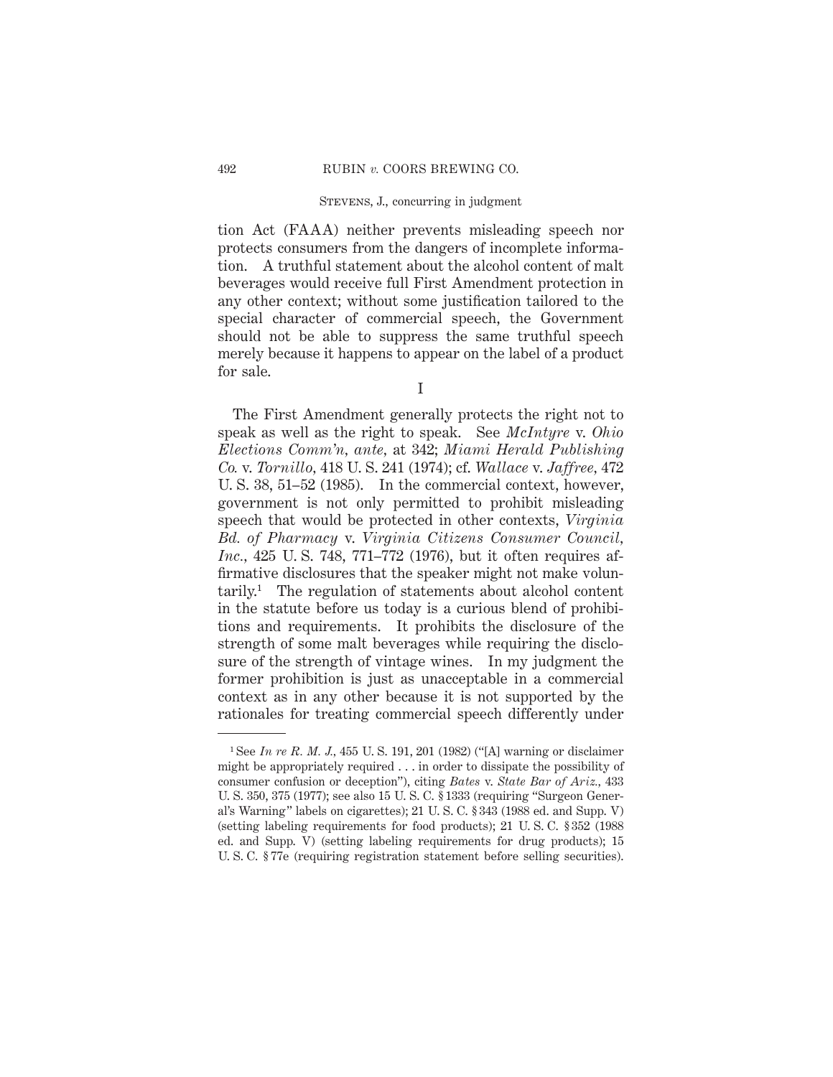tion Act (FAAA) neither prevents misleading speech nor protects consumers from the dangers of incomplete information. A truthful statement about the alcohol content of malt beverages would receive full First Amendment protection in any other context; without some justification tailored to the special character of commercial speech, the Government should not be able to suppress the same truthful speech merely because it happens to appear on the label of a product for sale.

I

The First Amendment generally protects the right not to speak as well as the right to speak. See *McIntyre* v. *Ohio Elections Comm'n, ante,* at 342; *Miami Herald Publishing Co.* v. *Tornillo,* 418 U. S. 241 (1974); cf. *Wallace* v. *Jaffree,* 472 U. S. 38, 51–52 (1985). In the commercial context, however, government is not only permitted to prohibit misleading speech that would be protected in other contexts, *Virginia Bd. of Pharmacy* v. *Virginia Citizens Consumer Council, Inc.,* 425 U. S. 748, 771–772 (1976), but it often requires affirmative disclosures that the speaker might not make volun- $\text{tarily.}$ <sup>1</sup> The regulation of statements about alcohol content in the statute before us today is a curious blend of prohibitions and requirements. It prohibits the disclosure of the strength of some malt beverages while requiring the disclosure of the strength of vintage wines. In my judgment the former prohibition is just as unacceptable in a commercial context as in any other because it is not supported by the rationales for treating commercial speech differently under

<sup>1</sup> See *In re R. M. J.,* 455 U. S. 191, 201 (1982) ("[A] warning or disclaimer might be appropriately required . . . in order to dissipate the possibility of consumer confusion or deception"), citing *Bates* v. *State Bar of Ariz.,* 433 U. S. 350, 375 (1977); see also 15 U. S. C. § 1333 (requiring "Surgeon General's Warning" labels on cigarettes); 21 U. S. C. § 343 (1988 ed. and Supp. V) (setting labeling requirements for food products); 21 U. S. C. § 352 (1988 ed. and Supp. V) (setting labeling requirements for drug products); 15 U. S. C. § 77e (requiring registration statement before selling securities).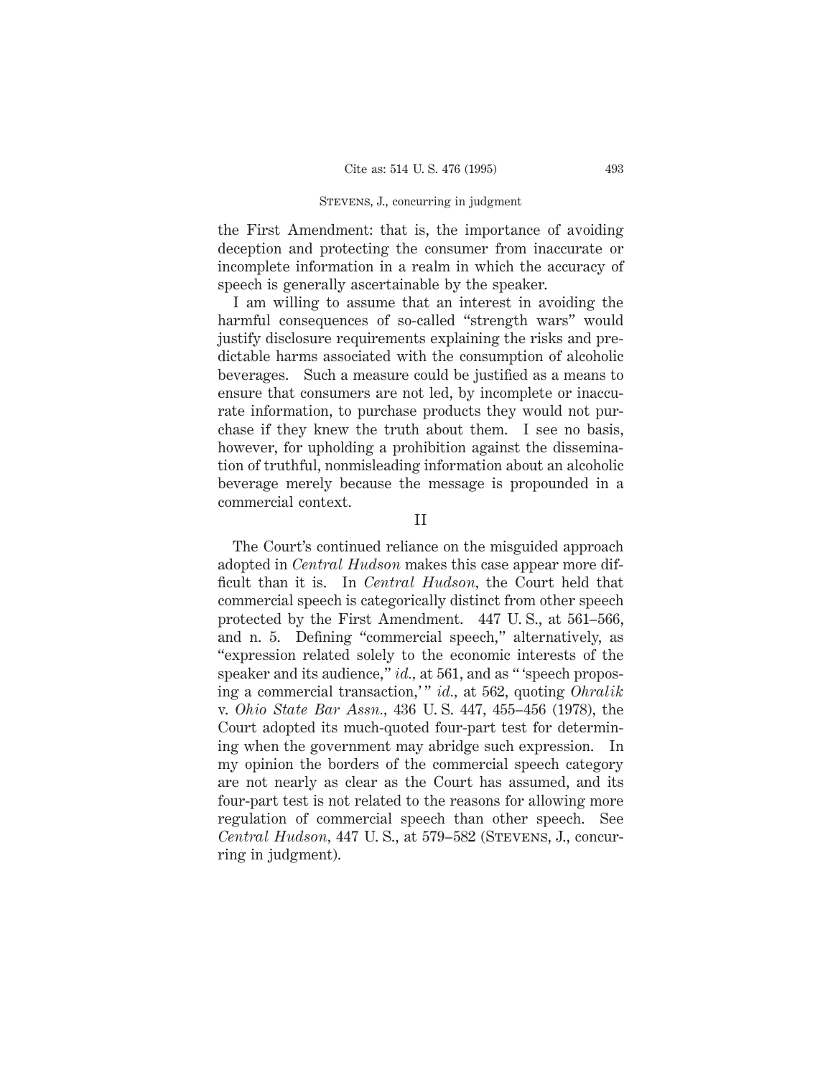the First Amendment: that is, the importance of avoiding deception and protecting the consumer from inaccurate or incomplete information in a realm in which the accuracy of speech is generally ascertainable by the speaker.

I am willing to assume that an interest in avoiding the harmful consequences of so-called "strength wars" would justify disclosure requirements explaining the risks and predictable harms associated with the consumption of alcoholic beverages. Such a measure could be justified as a means to ensure that consumers are not led, by incomplete or inaccurate information, to purchase products they would not purchase if they knew the truth about them. I see no basis, however, for upholding a prohibition against the dissemination of truthful, nonmisleading information about an alcoholic beverage merely because the message is propounded in a commercial context.

The Court's continued reliance on the misguided approach adopted in *Central Hudson* makes this case appear more difficult than it is. In *Central Hudson,* the Court held that commercial speech is categorically distinct from other speech protected by the First Amendment. 447 U. S., at 561–566, and n. 5. Defining "commercial speech," alternatively, as "expression related solely to the economic interests of the speaker and its audience," *id.*, at 561, and as "'speech proposing a commercial transaction,' " *id.,* at 562, quoting *Ohralik* v. *Ohio State Bar Assn.,* 436 U. S. 447, 455–456 (1978), the Court adopted its much-quoted four-part test for determining when the government may abridge such expression. In my opinion the borders of the commercial speech category are not nearly as clear as the Court has assumed, and its four-part test is not related to the reasons for allowing more regulation of commercial speech than other speech. See *Central Hudson,* 447 U. S., at 579–582 (Stevens, J., concurring in judgment).

II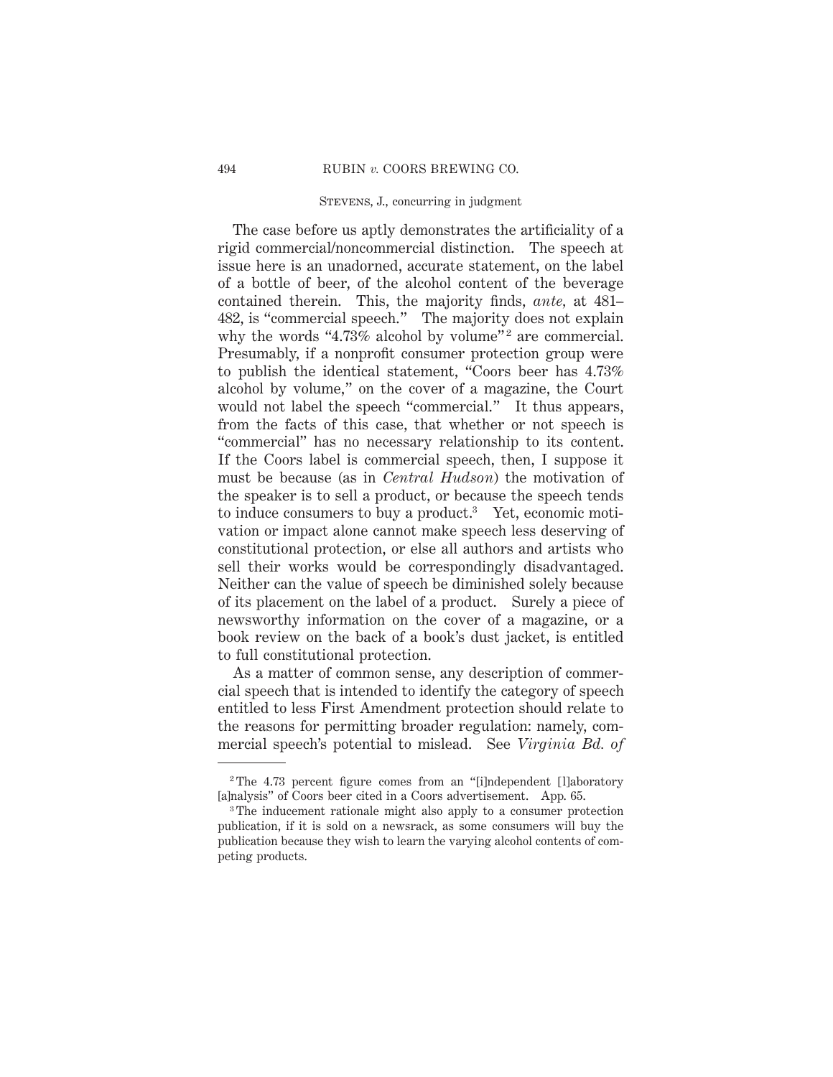The case before us aptly demonstrates the artificiality of a rigid commercial/noncommercial distinction. The speech at issue here is an unadorned, accurate statement, on the label of a bottle of beer, of the alcohol content of the beverage contained therein. This, the majority finds, *ante,* at 481– 482, is "commercial speech." The majority does not explain why the words "4.73% alcohol by volume"<sup>2</sup> are commercial. Presumably, if a nonprofit consumer protection group were to publish the identical statement, "Coors beer has 4.73% alcohol by volume," on the cover of a magazine, the Court would not label the speech "commercial." It thus appears, from the facts of this case, that whether or not speech is "commercial" has no necessary relationship to its content. If the Coors label is commercial speech, then, I suppose it must be because (as in *Central Hudson*) the motivation of the speaker is to sell a product, or because the speech tends to induce consumers to buy a product.3 Yet, economic motivation or impact alone cannot make speech less deserving of constitutional protection, or else all authors and artists who sell their works would be correspondingly disadvantaged. Neither can the value of speech be diminished solely because of its placement on the label of a product. Surely a piece of newsworthy information on the cover of a magazine, or a book review on the back of a book's dust jacket, is entitled to full constitutional protection.

As a matter of common sense, any description of commercial speech that is intended to identify the category of speech entitled to less First Amendment protection should relate to the reasons for permitting broader regulation: namely, commercial speech's potential to mislead. See *Virginia Bd. of*

<sup>&</sup>lt;sup>2</sup>The 4.73 percent figure comes from an "[i]ndependent [l]aboratory [a]nalysis" of Coors beer cited in a Coors advertisement. App. 65.

<sup>3</sup> The inducement rationale might also apply to a consumer protection publication, if it is sold on a newsrack, as some consumers will buy the publication because they wish to learn the varying alcohol contents of competing products.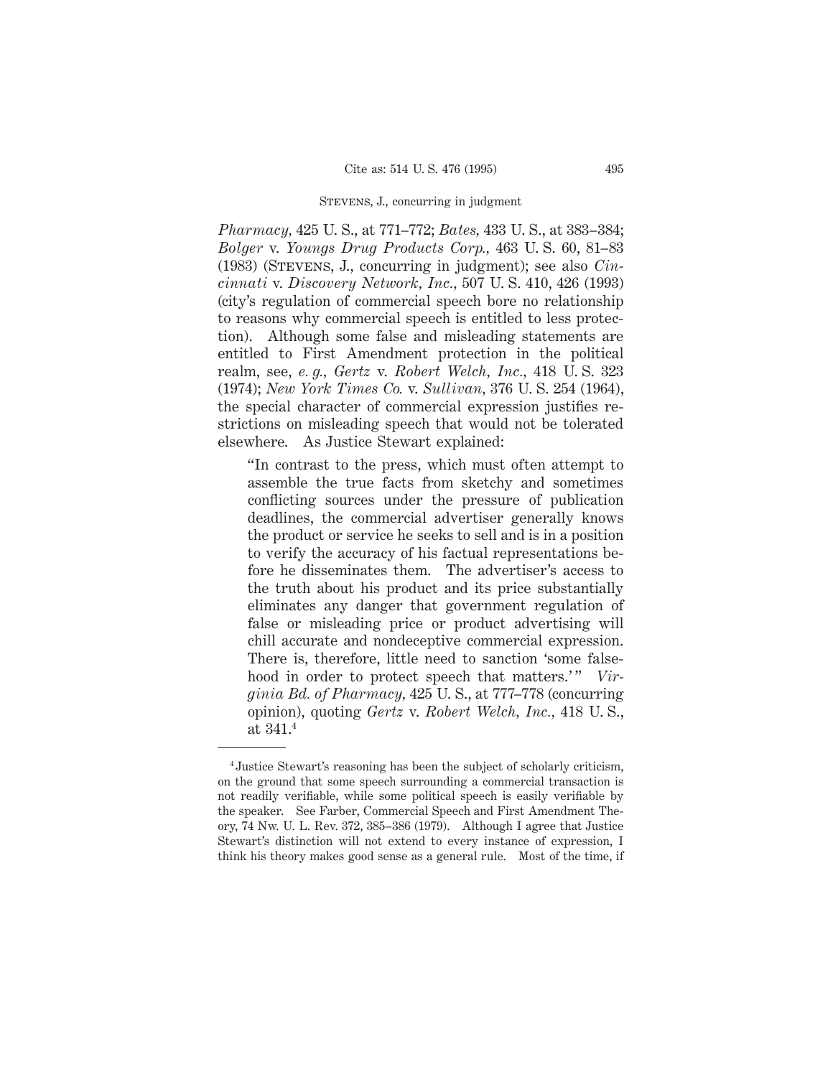*Pharmacy,* 425 U. S., at 771–772; *Bates,* 433 U. S., at 383–384; *Bolger* v. *Youngs Drug Products Corp.,* 463 U. S. 60, 81–83 (1983) (Stevens, J., concurring in judgment); see also *Cincinnati* v. *Discovery Network, Inc.,* 507 U. S. 410, 426 (1993) (city's regulation of commercial speech bore no relationship to reasons why commercial speech is entitled to less protection). Although some false and misleading statements are entitled to First Amendment protection in the political realm, see, *e. g., Gertz* v. *Robert Welch, Inc.,* 418 U. S. 323 (1974); *New York Times Co.* v. *Sullivan,* 376 U. S. 254 (1964), the special character of commercial expression justifies restrictions on misleading speech that would not be tolerated elsewhere. As Justice Stewart explained:

"In contrast to the press, which must often attempt to assemble the true facts from sketchy and sometimes conflicting sources under the pressure of publication deadlines, the commercial advertiser generally knows the product or service he seeks to sell and is in a position to verify the accuracy of his factual representations before he disseminates them. The advertiser's access to the truth about his product and its price substantially eliminates any danger that government regulation of false or misleading price or product advertising will chill accurate and nondeceptive commercial expression. There is, therefore, little need to sanction 'some falsehood in order to protect speech that matters.'" *Virginia Bd. of Pharmacy,* 425 U. S., at 777–778 (concurring opinion), quoting *Gertz* v. *Robert Welch, Inc.,* 418 U. S., at 341.4

<sup>4</sup> Justice Stewart's reasoning has been the subject of scholarly criticism, on the ground that some speech surrounding a commercial transaction is not readily verifiable, while some political speech is easily verifiable by the speaker. See Farber, Commercial Speech and First Amendment Theory, 74 Nw. U. L. Rev. 372, 385–386 (1979). Although I agree that Justice Stewart's distinction will not extend to every instance of expression, I think his theory makes good sense as a general rule. Most of the time, if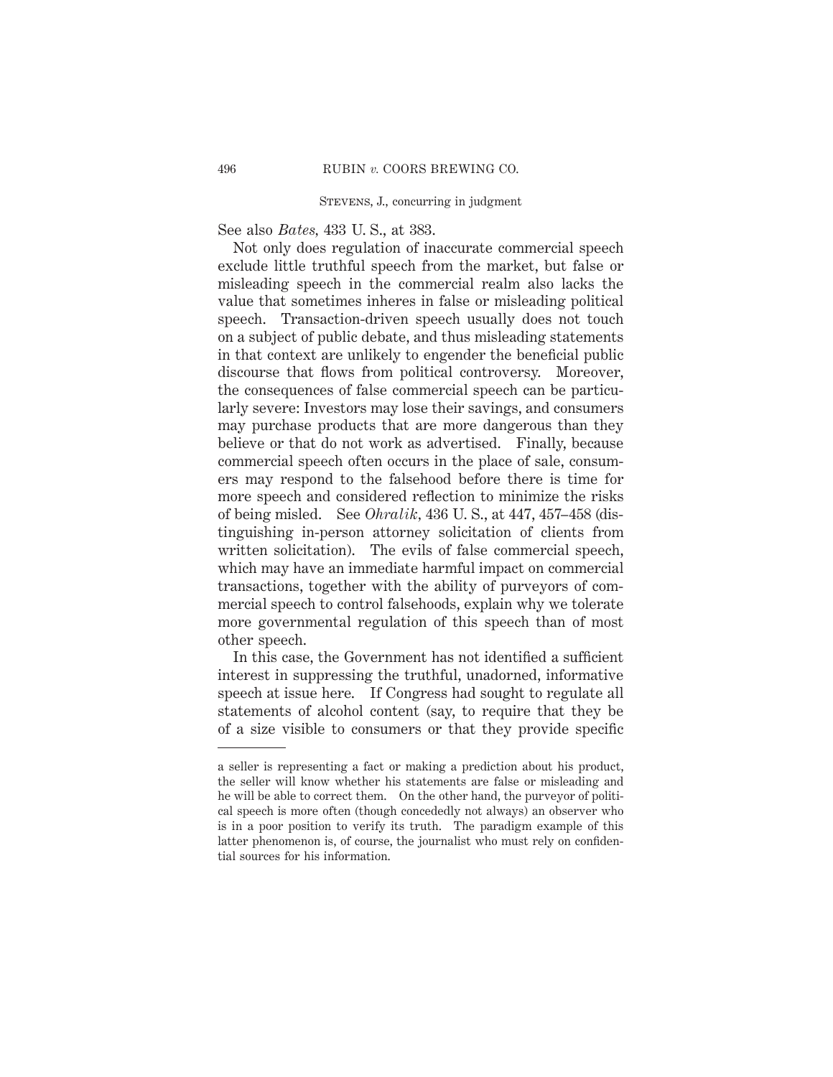See also *Bates,* 433 U. S., at 383.

Not only does regulation of inaccurate commercial speech exclude little truthful speech from the market, but false or misleading speech in the commercial realm also lacks the value that sometimes inheres in false or misleading political speech. Transaction-driven speech usually does not touch on a subject of public debate, and thus misleading statements in that context are unlikely to engender the beneficial public discourse that flows from political controversy. Moreover, the consequences of false commercial speech can be particularly severe: Investors may lose their savings, and consumers may purchase products that are more dangerous than they believe or that do not work as advertised. Finally, because commercial speech often occurs in the place of sale, consumers may respond to the falsehood before there is time for more speech and considered reflection to minimize the risks of being misled. See *Ohralik,* 436 U. S., at 447, 457–458 (distinguishing in-person attorney solicitation of clients from written solicitation). The evils of false commercial speech, which may have an immediate harmful impact on commercial transactions, together with the ability of purveyors of commercial speech to control falsehoods, explain why we tolerate more governmental regulation of this speech than of most other speech.

In this case, the Government has not identified a sufficient interest in suppressing the truthful, unadorned, informative speech at issue here. If Congress had sought to regulate all statements of alcohol content (say, to require that they be of a size visible to consumers or that they provide specific

a seller is representing a fact or making a prediction about his product, the seller will know whether his statements are false or misleading and he will be able to correct them. On the other hand, the purveyor of political speech is more often (though concededly not always) an observer who is in a poor position to verify its truth. The paradigm example of this latter phenomenon is, of course, the journalist who must rely on confidential sources for his information.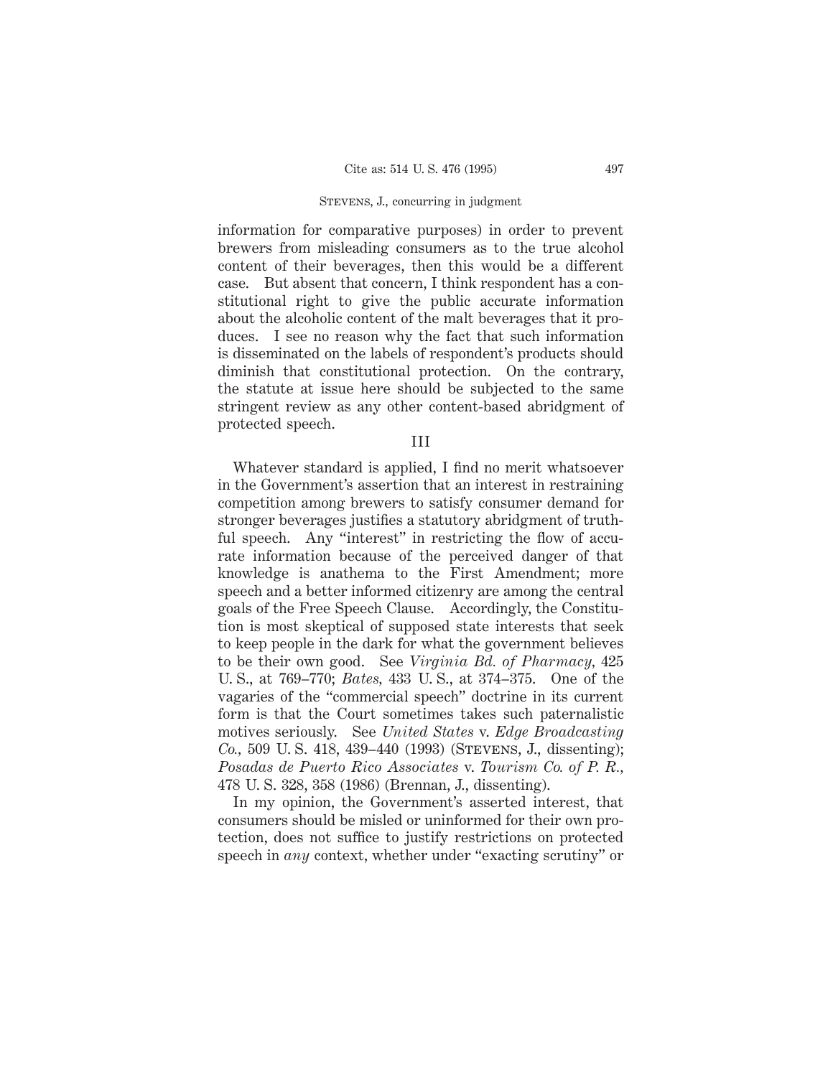information for comparative purposes) in order to prevent brewers from misleading consumers as to the true alcohol content of their beverages, then this would be a different case. But absent that concern, I think respondent has a constitutional right to give the public accurate information about the alcoholic content of the malt beverages that it produces. I see no reason why the fact that such information is disseminated on the labels of respondent's products should diminish that constitutional protection. On the contrary, the statute at issue here should be subjected to the same stringent review as any other content-based abridgment of protected speech.

III

Whatever standard is applied, I find no merit whatsoever in the Government's assertion that an interest in restraining competition among brewers to satisfy consumer demand for stronger beverages justifies a statutory abridgment of truthful speech. Any "interest" in restricting the flow of accurate information because of the perceived danger of that knowledge is anathema to the First Amendment; more speech and a better informed citizenry are among the central goals of the Free Speech Clause. Accordingly, the Constitution is most skeptical of supposed state interests that seek to keep people in the dark for what the government believes to be their own good. See *Virginia Bd. of Pharmacy,* 425 U. S., at 769–770; *Bates,* 433 U. S., at 374–375. One of the vagaries of the "commercial speech" doctrine in its current form is that the Court sometimes takes such paternalistic motives seriously. See *United States* v. *Edge Broadcasting Co.*, 509 U.S. 418, 439–440 (1993) (STEVENS, J., dissenting); *Posadas de Puerto Rico Associates* v. *Tourism Co. of P. R.,* 478 U. S. 328, 358 (1986) (Brennan, J., dissenting).

In my opinion, the Government's asserted interest, that consumers should be misled or uninformed for their own protection, does not suffice to justify restrictions on protected speech in *any* context, whether under "exacting scrutiny" or